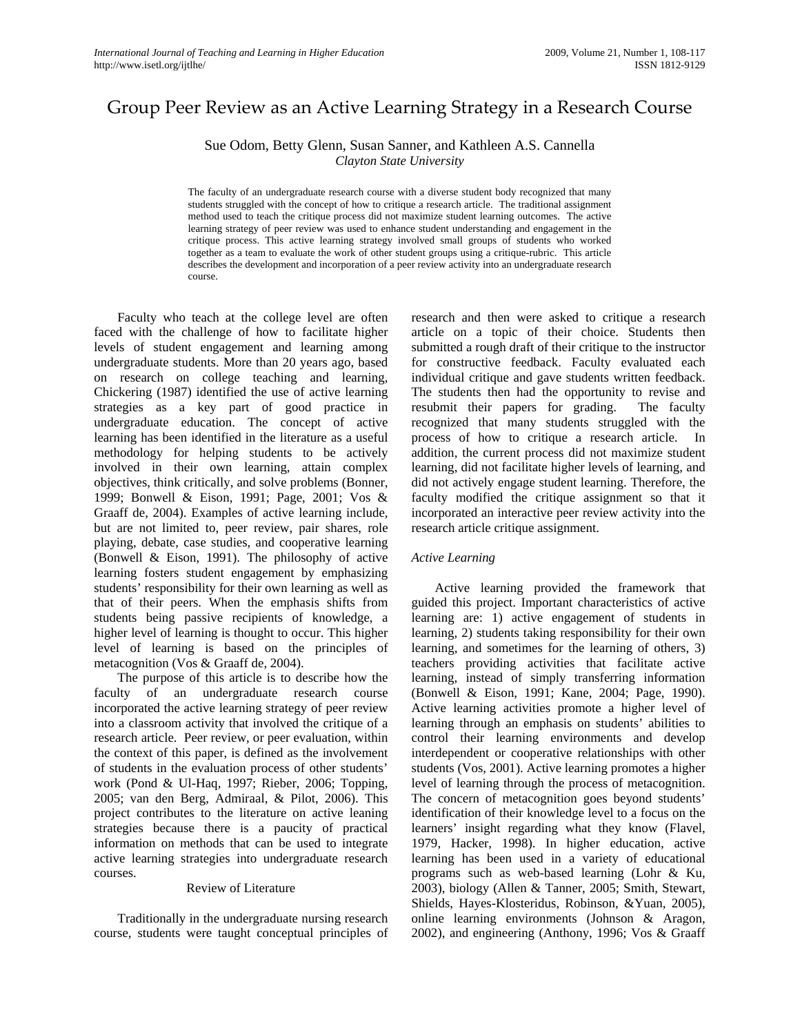# Group Peer Review as an Active Learning Strategy in a Research Course

Sue Odom, Betty Glenn, Susan Sanner, and Kathleen A.S. Cannella *Clayton State University* 

The faculty of an undergraduate research course with a diverse student body recognized that many students struggled with the concept of how to critique a research article. The traditional assignment method used to teach the critique process did not maximize student learning outcomes. The active learning strategy of peer review was used to enhance student understanding and engagement in the critique process. This active learning strategy involved small groups of students who worked together as a team to evaluate the work of other student groups using a critique-rubric. This article describes the development and incorporation of a peer review activity into an undergraduate research course.

Faculty who teach at the college level are often faced with the challenge of how to facilitate higher levels of student engagement and learning among undergraduate students. More than 20 years ago, based on research on college teaching and learning, Chickering (1987) identified the use of active learning strategies as a key part of good practice in undergraduate education. The concept of active learning has been identified in the literature as a useful methodology for helping students to be actively involved in their own learning, attain complex objectives, think critically, and solve problems (Bonner, 1999; Bonwell & Eison, 1991; Page, 2001; Vos & Graaff de, 2004). Examples of active learning include, but are not limited to, peer review, pair shares, role playing, debate, case studies, and cooperative learning (Bonwell & Eison, 1991). The philosophy of active learning fosters student engagement by emphasizing students' responsibility for their own learning as well as that of their peers. When the emphasis shifts from students being passive recipients of knowledge, a higher level of learning is thought to occur. This higher level of learning is based on the principles of metacognition (Vos & Graaff de, 2004).

The purpose of this article is to describe how the faculty of an undergraduate research course incorporated the active learning strategy of peer review into a classroom activity that involved the critique of a research article. Peer review, or peer evaluation, within the context of this paper, is defined as the involvement of students in the evaluation process of other students' work (Pond & Ul-Haq, 1997; Rieber, 2006; Topping, 2005; van den Berg, Admiraal, & Pilot, 2006). This project contributes to the literature on active leaning strategies because there is a paucity of practical information on methods that can be used to integrate active learning strategies into undergraduate research courses.

#### Review of Literature

 Traditionally in the undergraduate nursing research course, students were taught conceptual principles of research and then were asked to critique a research article on a topic of their choice. Students then submitted a rough draft of their critique to the instructor for constructive feedback. Faculty evaluated each individual critique and gave students written feedback. The students then had the opportunity to revise and resubmit their papers for grading. The faculty recognized that many students struggled with the process of how to critique a research article. In addition, the current process did not maximize student learning, did not facilitate higher levels of learning, and did not actively engage student learning. Therefore, the faculty modified the critique assignment so that it incorporated an interactive peer review activity into the research article critique assignment.

## *Active Learning*

 Active learning provided the framework that guided this project. Important characteristics of active learning are: 1) active engagement of students in learning, 2) students taking responsibility for their own learning, and sometimes for the learning of others, 3) teachers providing activities that facilitate active learning, instead of simply transferring information (Bonwell & Eison, 1991; Kane, 2004; Page, 1990). Active learning activities promote a higher level of learning through an emphasis on students' abilities to control their learning environments and develop interdependent or cooperative relationships with other students (Vos, 2001). Active learning promotes a higher level of learning through the process of metacognition. The concern of metacognition goes beyond students' identification of their knowledge level to a focus on the learners' insight regarding what they know (Flavel, 1979, Hacker, 1998). In higher education, active learning has been used in a variety of educational programs such as web-based learning (Lohr & Ku, 2003), biology (Allen & Tanner, 2005; Smith, Stewart, Shields, Hayes-Klosteridus, Robinson, &Yuan, 2005), online learning environments (Johnson & Aragon, 2002), and engineering (Anthony, 1996; Vos & Graaff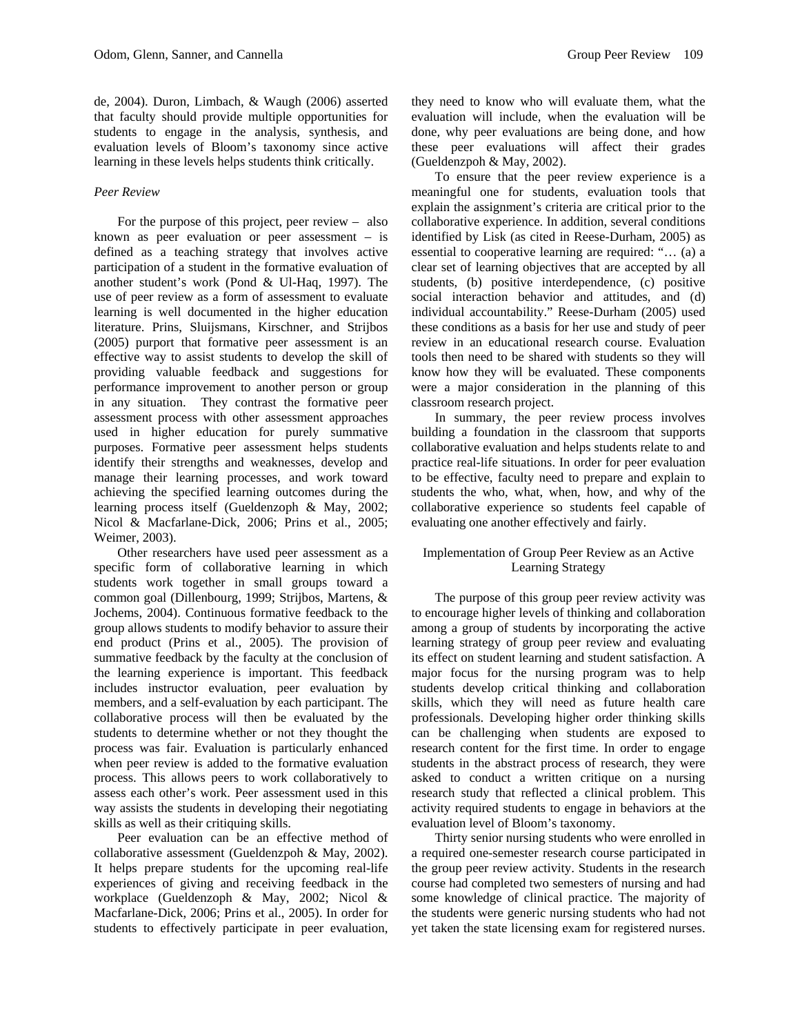de, 2004). Duron, Limbach, & Waugh (2006) asserted that faculty should provide multiple opportunities for students to engage in the analysis, synthesis, and evaluation levels of Bloom's taxonomy since active learning in these levels helps students think critically.

## *Peer Review*

 For the purpose of this project, peer review – also known as peer evaluation or peer assessment – is defined as a teaching strategy that involves active participation of a student in the formative evaluation of another student's work (Pond & Ul-Haq, 1997). The use of peer review as a form of assessment to evaluate learning is well documented in the higher education literature. Prins, Sluijsmans, Kirschner, and Strijbos (2005) purport that formative peer assessment is an effective way to assist students to develop the skill of providing valuable feedback and suggestions for performance improvement to another person or group in any situation. They contrast the formative peer assessment process with other assessment approaches used in higher education for purely summative purposes. Formative peer assessment helps students identify their strengths and weaknesses, develop and manage their learning processes, and work toward achieving the specified learning outcomes during the learning process itself (Gueldenzoph & May, 2002; Nicol & Macfarlane-Dick, 2006; Prins et al., 2005; Weimer, 2003).

Other researchers have used peer assessment as a specific form of collaborative learning in which students work together in small groups toward a common goal (Dillenbourg, 1999; Strijbos, Martens, & Jochems, 2004). Continuous formative feedback to the group allows students to modify behavior to assure their end product (Prins et al., 2005). The provision of summative feedback by the faculty at the conclusion of the learning experience is important. This feedback includes instructor evaluation, peer evaluation by members, and a self-evaluation by each participant. The collaborative process will then be evaluated by the students to determine whether or not they thought the process was fair. Evaluation is particularly enhanced when peer review is added to the formative evaluation process. This allows peers to work collaboratively to assess each other's work. Peer assessment used in this way assists the students in developing their negotiating skills as well as their critiquing skills.

Peer evaluation can be an effective method of collaborative assessment (Gueldenzpoh & May, 2002). It helps prepare students for the upcoming real-life experiences of giving and receiving feedback in the workplace (Gueldenzoph & May, 2002; Nicol & Macfarlane-Dick, 2006; Prins et al., 2005). In order for students to effectively participate in peer evaluation,

they need to know who will evaluate them, what the evaluation will include, when the evaluation will be done, why peer evaluations are being done, and how these peer evaluations will affect their grades (Gueldenzpoh & May, 2002).

To ensure that the peer review experience is a meaningful one for students, evaluation tools that explain the assignment's criteria are critical prior to the collaborative experience. In addition, several conditions identified by Lisk (as cited in Reese-Durham, 2005) as essential to cooperative learning are required: "… (a) a clear set of learning objectives that are accepted by all students, (b) positive interdependence, (c) positive social interaction behavior and attitudes, and (d) individual accountability." Reese-Durham (2005) used these conditions as a basis for her use and study of peer review in an educational research course. Evaluation tools then need to be shared with students so they will know how they will be evaluated. These components were a major consideration in the planning of this classroom research project.

 In summary, the peer review process involves building a foundation in the classroom that supports collaborative evaluation and helps students relate to and practice real-life situations. In order for peer evaluation to be effective, faculty need to prepare and explain to students the who, what, when, how, and why of the collaborative experience so students feel capable of evaluating one another effectively and fairly.

## Implementation of Group Peer Review as an Active Learning Strategy

The purpose of this group peer review activity was to encourage higher levels of thinking and collaboration among a group of students by incorporating the active learning strategy of group peer review and evaluating its effect on student learning and student satisfaction. A major focus for the nursing program was to help students develop critical thinking and collaboration skills, which they will need as future health care professionals. Developing higher order thinking skills can be challenging when students are exposed to research content for the first time. In order to engage students in the abstract process of research, they were asked to conduct a written critique on a nursing research study that reflected a clinical problem. This activity required students to engage in behaviors at the evaluation level of Bloom's taxonomy.

Thirty senior nursing students who were enrolled in a required one-semester research course participated in the group peer review activity. Students in the research course had completed two semesters of nursing and had some knowledge of clinical practice. The majority of the students were generic nursing students who had not yet taken the state licensing exam for registered nurses.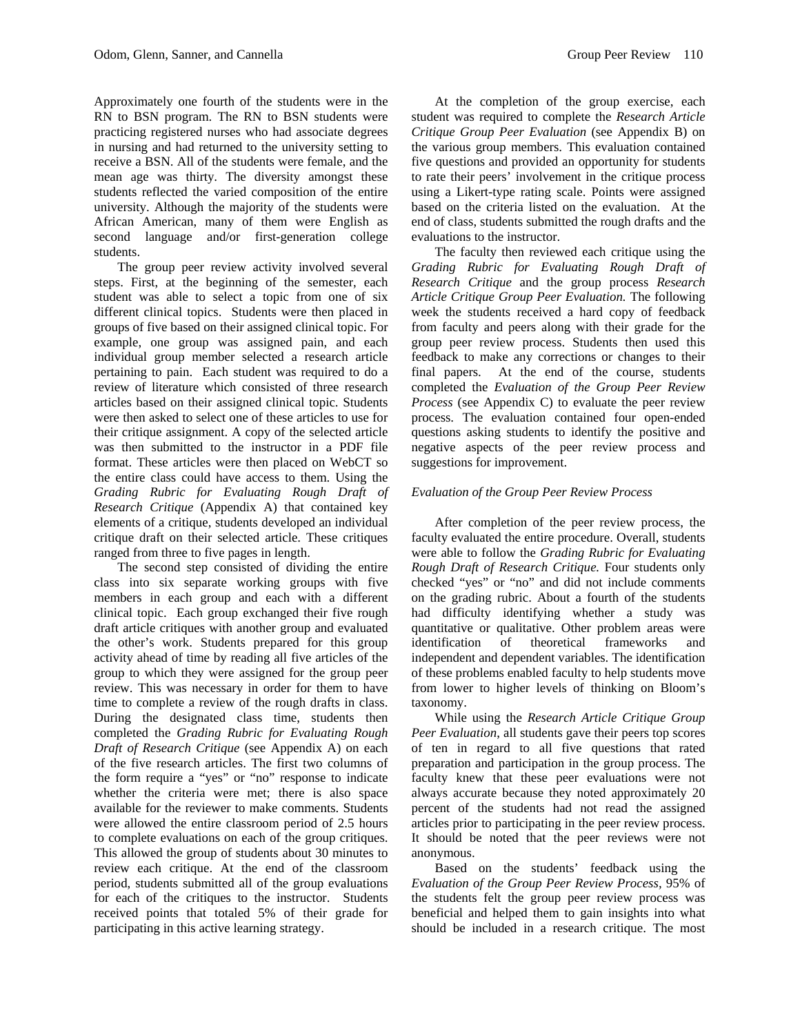Approximately one fourth of the students were in the RN to BSN program. The RN to BSN students were practicing registered nurses who had associate degrees in nursing and had returned to the university setting to receive a BSN. All of the students were female, and the mean age was thirty. The diversity amongst these students reflected the varied composition of the entire university. Although the majority of the students were African American, many of them were English as second language and/or first-generation college students.

The group peer review activity involved several steps. First, at the beginning of the semester, each student was able to select a topic from one of six different clinical topics. Students were then placed in groups of five based on their assigned clinical topic. For example, one group was assigned pain, and each individual group member selected a research article pertaining to pain. Each student was required to do a review of literature which consisted of three research articles based on their assigned clinical topic. Students were then asked to select one of these articles to use for their critique assignment. A copy of the selected article was then submitted to the instructor in a PDF file format. These articles were then placed on WebCT so the entire class could have access to them. Using the *Grading Rubric for Evaluating Rough Draft of Research Critique* (Appendix A) that contained key elements of a critique, students developed an individual critique draft on their selected article. These critiques ranged from three to five pages in length.

The second step consisted of dividing the entire class into six separate working groups with five members in each group and each with a different clinical topic. Each group exchanged their five rough draft article critiques with another group and evaluated the other's work. Students prepared for this group activity ahead of time by reading all five articles of the group to which they were assigned for the group peer review. This was necessary in order for them to have time to complete a review of the rough drafts in class. During the designated class time, students then completed the *Grading Rubric for Evaluating Rough Draft of Research Critique* (see Appendix A) on each of the five research articles. The first two columns of the form require a "yes" or "no" response to indicate whether the criteria were met; there is also space available for the reviewer to make comments. Students were allowed the entire classroom period of 2.5 hours to complete evaluations on each of the group critiques. This allowed the group of students about 30 minutes to review each critique. At the end of the classroom period, students submitted all of the group evaluations for each of the critiques to the instructor. Students received points that totaled 5% of their grade for participating in this active learning strategy.

At the completion of the group exercise, each student was required to complete the *Research Article Critique Group Peer Evaluation* (see Appendix B) on the various group members. This evaluation contained five questions and provided an opportunity for students to rate their peers' involvement in the critique process using a Likert-type rating scale. Points were assigned based on the criteria listed on the evaluation. At the end of class, students submitted the rough drafts and the evaluations to the instructor.

The faculty then reviewed each critique using the *Grading Rubric for Evaluating Rough Draft of Research Critique* and the group process *Research Article Critique Group Peer Evaluation.* The following week the students received a hard copy of feedback from faculty and peers along with their grade for the group peer review process. Students then used this feedback to make any corrections or changes to their final papers. At the end of the course, students completed the *Evaluation of the Group Peer Review Process* (see Appendix C) to evaluate the peer review process. The evaluation contained four open-ended questions asking students to identify the positive and negative aspects of the peer review process and suggestions for improvement.

### *Evaluation of the Group Peer Review Process*

After completion of the peer review process, the faculty evaluated the entire procedure. Overall, students were able to follow the *Grading Rubric for Evaluating Rough Draft of Research Critique.* Four students only checked "yes" or "no" and did not include comments on the grading rubric. About a fourth of the students had difficulty identifying whether a study was quantitative or qualitative. Other problem areas were identification of theoretical frameworks and independent and dependent variables. The identification of these problems enabled faculty to help students move from lower to higher levels of thinking on Bloom's taxonomy.

While using the *Research Article Critique Group Peer Evaluation*, all students gave their peers top scores of ten in regard to all five questions that rated preparation and participation in the group process. The faculty knew that these peer evaluations were not always accurate because they noted approximately 20 percent of the students had not read the assigned articles prior to participating in the peer review process. It should be noted that the peer reviews were not anonymous.

Based on the students' feedback using the *Evaluation of the Group Peer Review Process,* 95% of the students felt the group peer review process was beneficial and helped them to gain insights into what should be included in a research critique. The most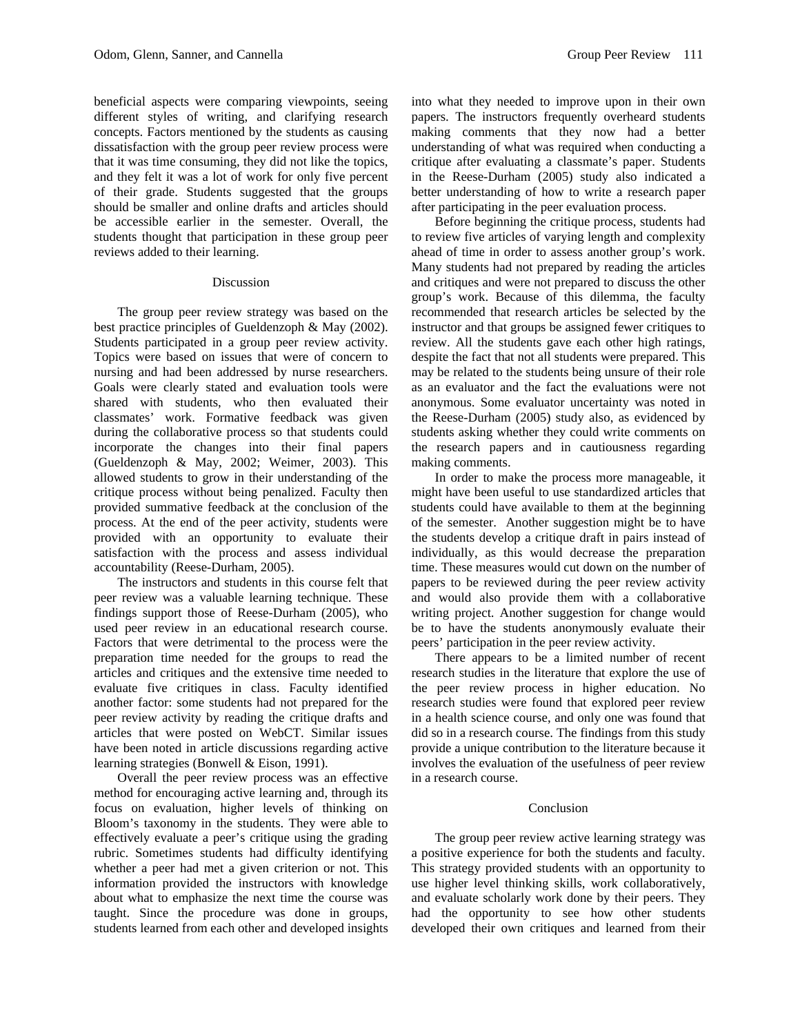beneficial aspects were comparing viewpoints, seeing different styles of writing, and clarifying research concepts. Factors mentioned by the students as causing dissatisfaction with the group peer review process were that it was time consuming, they did not like the topics, and they felt it was a lot of work for only five percent of their grade. Students suggested that the groups should be smaller and online drafts and articles should be accessible earlier in the semester. Overall, the students thought that participation in these group peer reviews added to their learning.

#### Discussion

The group peer review strategy was based on the best practice principles of Gueldenzoph & May (2002). Students participated in a group peer review activity. Topics were based on issues that were of concern to nursing and had been addressed by nurse researchers. Goals were clearly stated and evaluation tools were shared with students, who then evaluated their classmates' work. Formative feedback was given during the collaborative process so that students could incorporate the changes into their final papers (Gueldenzoph & May, 2002; Weimer, 2003). This allowed students to grow in their understanding of the critique process without being penalized. Faculty then provided summative feedback at the conclusion of the process. At the end of the peer activity, students were provided with an opportunity to evaluate their satisfaction with the process and assess individual accountability (Reese-Durham, 2005).

The instructors and students in this course felt that peer review was a valuable learning technique. These findings support those of Reese-Durham (2005), who used peer review in an educational research course. Factors that were detrimental to the process were the preparation time needed for the groups to read the articles and critiques and the extensive time needed to evaluate five critiques in class. Faculty identified another factor: some students had not prepared for the peer review activity by reading the critique drafts and articles that were posted on WebCT. Similar issues have been noted in article discussions regarding active learning strategies (Bonwell & Eison, 1991).

Overall the peer review process was an effective method for encouraging active learning and, through its focus on evaluation, higher levels of thinking on Bloom's taxonomy in the students. They were able to effectively evaluate a peer's critique using the grading rubric. Sometimes students had difficulty identifying whether a peer had met a given criterion or not. This information provided the instructors with knowledge about what to emphasize the next time the course was taught. Since the procedure was done in groups, students learned from each other and developed insights

into what they needed to improve upon in their own papers. The instructors frequently overheard students making comments that they now had a better understanding of what was required when conducting a critique after evaluating a classmate's paper. Students in the Reese-Durham (2005) study also indicated a better understanding of how to write a research paper after participating in the peer evaluation process.

Before beginning the critique process, students had to review five articles of varying length and complexity ahead of time in order to assess another group's work. Many students had not prepared by reading the articles and critiques and were not prepared to discuss the other group's work. Because of this dilemma, the faculty recommended that research articles be selected by the instructor and that groups be assigned fewer critiques to review. All the students gave each other high ratings, despite the fact that not all students were prepared. This may be related to the students being unsure of their role as an evaluator and the fact the evaluations were not anonymous. Some evaluator uncertainty was noted in the Reese-Durham (2005) study also, as evidenced by students asking whether they could write comments on the research papers and in cautiousness regarding making comments.

In order to make the process more manageable, it might have been useful to use standardized articles that students could have available to them at the beginning of the semester. Another suggestion might be to have the students develop a critique draft in pairs instead of individually, as this would decrease the preparation time. These measures would cut down on the number of papers to be reviewed during the peer review activity and would also provide them with a collaborative writing project. Another suggestion for change would be to have the students anonymously evaluate their peers' participation in the peer review activity.

There appears to be a limited number of recent research studies in the literature that explore the use of the peer review process in higher education. No research studies were found that explored peer review in a health science course, and only one was found that did so in a research course. The findings from this study provide a unique contribution to the literature because it involves the evaluation of the usefulness of peer review in a research course.

#### Conclusion

The group peer review active learning strategy was a positive experience for both the students and faculty. This strategy provided students with an opportunity to use higher level thinking skills, work collaboratively, and evaluate scholarly work done by their peers. They had the opportunity to see how other students developed their own critiques and learned from their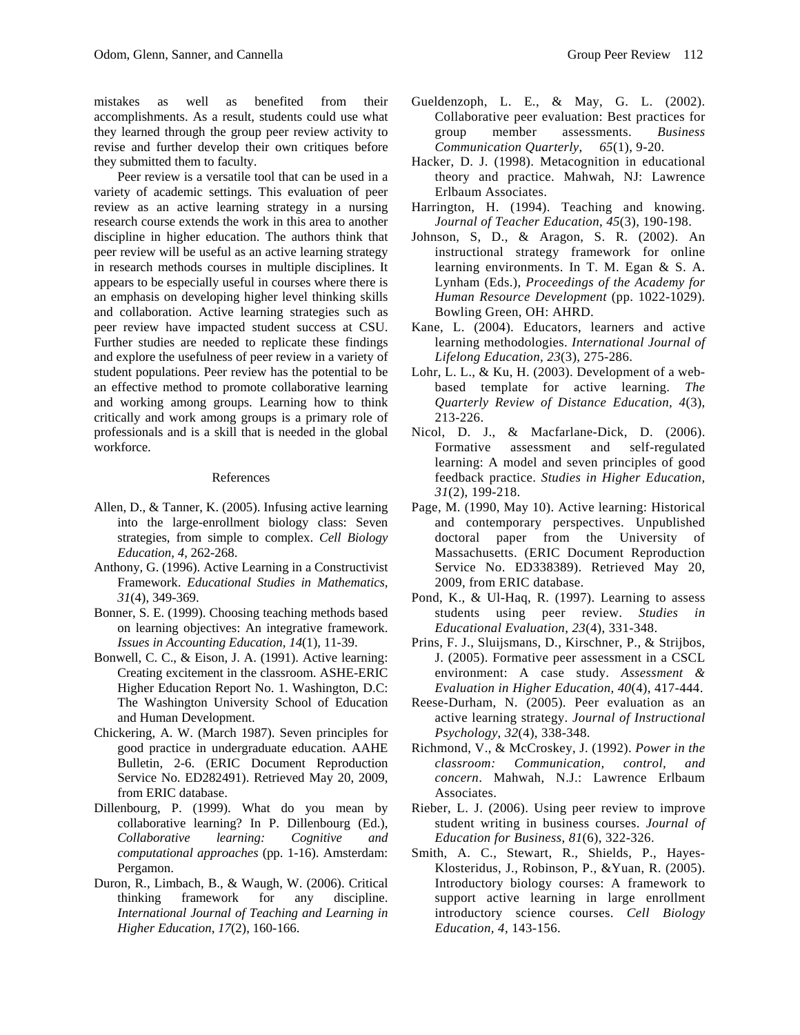Peer review is a versatile tool that can be used in a variety of academic settings. This evaluation of peer review as an active learning strategy in a nursing research course extends the work in this area to another discipline in higher education. The authors think that peer review will be useful as an active learning strategy in research methods courses in multiple disciplines. It appears to be especially useful in courses where there is an emphasis on developing higher level thinking skills and collaboration. Active learning strategies such as peer review have impacted student success at CSU. Further studies are needed to replicate these findings and explore the usefulness of peer review in a variety of student populations. Peer review has the potential to be an effective method to promote collaborative learning and working among groups. Learning how to think critically and work among groups is a primary role of professionals and is a skill that is needed in the global workforce.

### References

- Allen, D., & Tanner, K. (2005). Infusing active learning into the large-enrollment biology class: Seven strategies, from simple to complex. *Cell Biology Education, 4*, 262-268.
- Anthony, G. (1996). Active Learning in a Constructivist Framework. *Educational Studies in Mathematics, 31*(4), 349-369.
- Bonner, S. E. (1999). Choosing teaching methods based on learning objectives: An integrative framework. *Issues in Accounting Education, 14*(1), 11-39.
- Bonwell, C. C., & Eison, J. A. (1991). Active learning: Creating excitement in the classroom. ASHE-ERIC Higher Education Report No. 1. Washington, D.C: The Washington University School of Education and Human Development.
- Chickering, A. W. (March 1987). Seven principles for good practice in undergraduate education. AAHE Bulletin, 2-6. (ERIC Document Reproduction Service No. ED282491). Retrieved May 20, 2009, from ERIC database.
- Dillenbourg, P. (1999). What do you mean by collaborative learning? In P. Dillenbourg (Ed.), *Collaborative learning: Cognitive and computational approaches* (pp. 1-16). Amsterdam: Pergamon.
- Duron, R., Limbach, B., & Waugh, W. (2006). Critical thinking framework for any discipline. *International Journal of Teaching and Learning in Higher Education*, *17*(2), 160-166.
- Gueldenzoph, L. E., & May, G. L. (2002). Collaborative peer evaluation: Best practices for group member assessments. *Business Communication Quarterly*, *65*(1), 9-20.
- Hacker, D. J. (1998). Metacognition in educational theory and practice. Mahwah, NJ: Lawrence Erlbaum Associates.
- Harrington, H. (1994). Teaching and knowing. *Journal of Teacher Education*, *45*(3), 190-198.
- Johnson, S, D., & Aragon, S. R. (2002). An instructional strategy framework for online learning environments. In T. M. Egan & S. A. Lynham (Eds.), *Proceedings of the Academy for Human Resource Development* (pp. 1022-1029). Bowling Green, OH: AHRD.
- Kane, L. (2004). Educators, learners and active learning methodologies. *International Journal of Lifelong Education, 23*(3), 275-286.
- Lohr, L. L., & Ku, H. (2003). Development of a webbased template for active learning. *The Quarterly Review of Distance Education, 4*(3), 213-226.
- Nicol, D. J., & Macfarlane-Dick, D. (2006). Formative assessment and self-regulated learning: A model and seven principles of good feedback practice. *Studies in Higher Education, 31*(2), 199-218.
- Page, M. (1990, May 10). Active learning: Historical and contemporary perspectives. Unpublished doctoral paper from the University of Massachusetts. (ERIC Document Reproduction Service No. ED338389). Retrieved May 20, 2009, from ERIC database.
- Pond, K., & Ul-Haq, R. (1997). Learning to assess students using peer review. *Studies in Educational Evaluation*, *23*(4), 331-348.
- Prins, F. J., Sluijsmans, D., Kirschner, P., & Strijbos, J. (2005). Formative peer assessment in a CSCL environment: A case study. *Assessment & Evaluation in Higher Education*, *40*(4), 417-444.
- Reese-Durham, N. (2005). Peer evaluation as an active learning strategy. *Journal of Instructional Psychology*, *32*(4), 338-348.
- Richmond, V., & McCroskey, J. (1992). *Power in the classroom: Communication, control, and concern*. Mahwah, N.J.: Lawrence Erlbaum Associates.
- Rieber, L. J. (2006). Using peer review to improve student writing in business courses. *Journal of Education for Business*, *81*(6), 322-326.
- Smith, A. C., Stewart, R., Shields, P., Hayes-Klosteridus, J., Robinson, P., &Yuan, R. (2005). Introductory biology courses: A framework to support active learning in large enrollment introductory science courses. *Cell Biology Education, 4*, 143-156.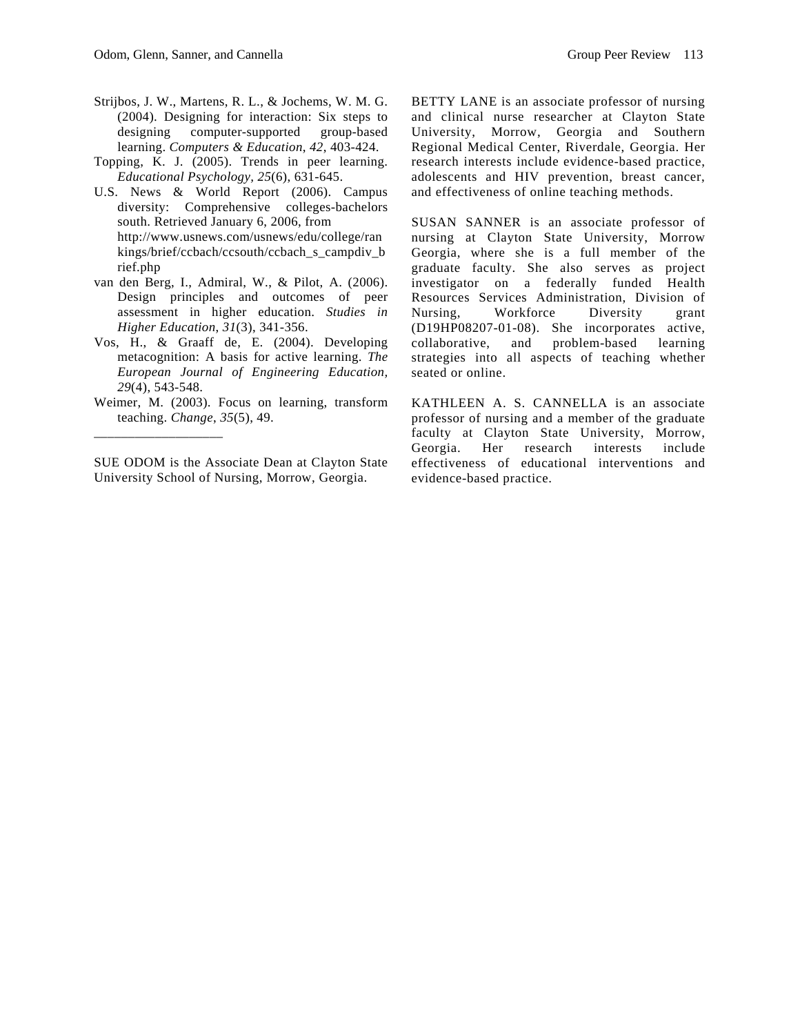- Strijbos, J. W., Martens, R. L., & Jochems, W. M. G. (2004). Designing for interaction: Six steps to designing computer-supported group-based learning. *Computers & Education*, *42*, 403-424.
- Topping, K. J. (2005). Trends in peer learning. *Educational Psychology, 25*(6), 631-645.
- U.S. News & World Report (2006). Campus diversity: Comprehensive colleges-bachelors south. Retrieved January 6, 2006, from http://www.usnews.com/usnews/edu/college/ran kings/brief/ccbach/ccsouth/ccbach\_s\_campdiv\_b rief.php
- van den Berg, I., Admiral, W., & Pilot, A. (2006). Design principles and outcomes of peer assessment in higher education. *Studies in Higher Education*, *31*(3), 341-356.
- Vos, H., & Graaff de, E. (2004). Developing metacognition: A basis for active learning. *The European Journal of Engineering Education, 29*(4), 543-548.
- Weimer, M. (2003). Focus on learning, transform teaching. *Change*, *35*(5), 49.

\_\_\_\_\_\_\_\_\_\_\_\_\_\_\_\_\_\_\_

SUE ODOM is the Associate Dean at Clayton State University School of Nursing, Morrow, Georgia.

BETTY LANE is an associate professor of nursing and clinical nurse researcher at Clayton State University, Morrow, Georgia and Southern Regional Medical Center, Riverdale, Georgia. Her research interests include evidence-based practice, adolescents and HIV prevention, breast cancer, and effectiveness of online teaching methods.

SUSAN SANNER is an associate professor of nursing at Clayton State University, Morrow Georgia, where she is a full member of the graduate faculty. She also serves as project investigator on a federally funded Health Resources Services Administration, Division of Nursing, Workforce Diversity grant (D19HP08207-01-08). She incorporates active, collaborative, and problem-based learning strategies into all aspects of teaching whether seated or online.

KATHLEEN A. S. CANNELLA is an associate professor of nursing and a member of the graduate faculty at Clayton State University, Morrow, Georgia. Her research interests include effectiveness of educational interventions and evidence-based practice.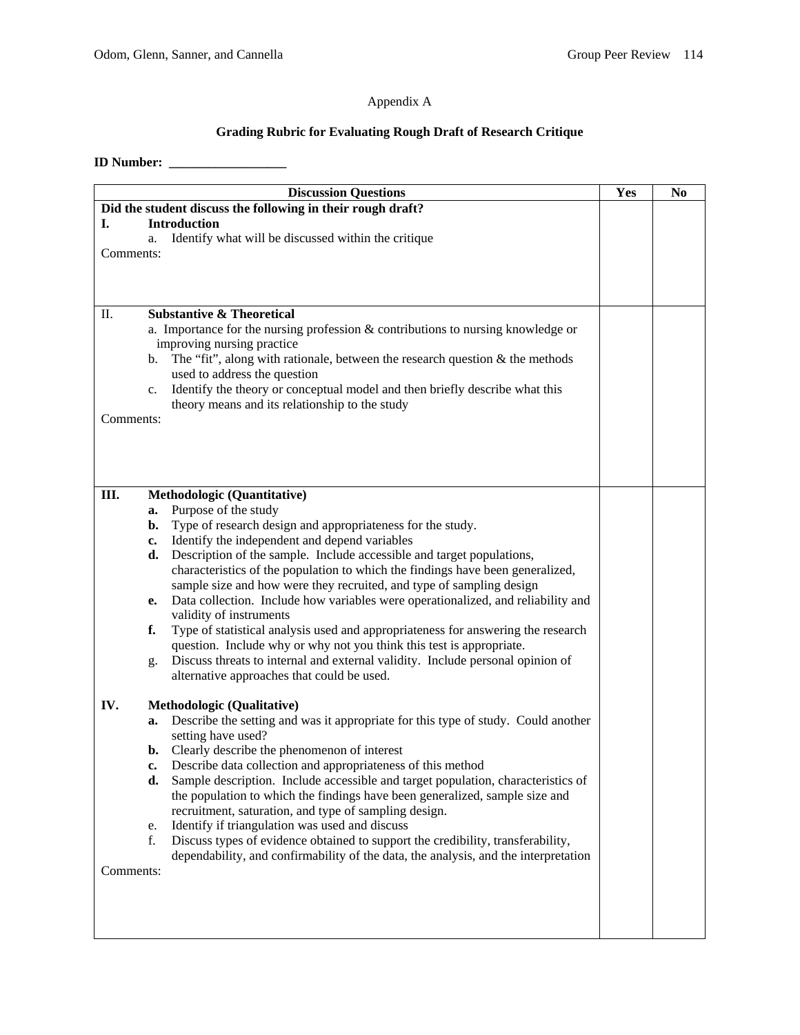## Appendix A

## **Grading Rubric for Evaluating Rough Draft of Research Critique**

## **ID Number: \_\_\_\_\_\_\_\_\_\_\_\_\_\_\_\_\_\_**

|                                                             | <b>Discussion Questions</b>                                                                                       | Yes | N <sub>0</sub> |
|-------------------------------------------------------------|-------------------------------------------------------------------------------------------------------------------|-----|----------------|
| Did the student discuss the following in their rough draft? |                                                                                                                   |     |                |
| I.                                                          | <b>Introduction</b>                                                                                               |     |                |
|                                                             | Identify what will be discussed within the critique<br>a.                                                         |     |                |
| Comments:                                                   |                                                                                                                   |     |                |
|                                                             |                                                                                                                   |     |                |
|                                                             |                                                                                                                   |     |                |
| Π.                                                          | <b>Substantive &amp; Theoretical</b>                                                                              |     |                |
|                                                             | a. Importance for the nursing profession $&$ contributions to nursing knowledge or                                |     |                |
|                                                             | improving nursing practice                                                                                        |     |                |
|                                                             | b. The "fit", along with rationale, between the research question $\&$ the methods                                |     |                |
|                                                             | used to address the question                                                                                      |     |                |
|                                                             | Identify the theory or conceptual model and then briefly describe what this<br>c.                                 |     |                |
| Comments:                                                   | theory means and its relationship to the study                                                                    |     |                |
|                                                             |                                                                                                                   |     |                |
|                                                             |                                                                                                                   |     |                |
|                                                             |                                                                                                                   |     |                |
|                                                             |                                                                                                                   |     |                |
| Ш.                                                          | <b>Methodologic (Quantitative)</b>                                                                                |     |                |
|                                                             | Purpose of the study<br>a.                                                                                        |     |                |
|                                                             | Type of research design and appropriateness for the study.<br>b.<br>Identify the independent and depend variables |     |                |
|                                                             | c.<br>Description of the sample. Include accessible and target populations,<br>d.                                 |     |                |
|                                                             | characteristics of the population to which the findings have been generalized,                                    |     |                |
|                                                             | sample size and how were they recruited, and type of sampling design                                              |     |                |
|                                                             | Data collection. Include how variables were operationalized, and reliability and<br>e.                            |     |                |
|                                                             | validity of instruments                                                                                           |     |                |
|                                                             | Type of statistical analysis used and appropriateness for answering the research<br>f.                            |     |                |
|                                                             | question. Include why or why not you think this test is appropriate.                                              |     |                |
|                                                             | Discuss threats to internal and external validity. Include personal opinion of<br>g.                              |     |                |
|                                                             | alternative approaches that could be used.                                                                        |     |                |
| IV.                                                         | <b>Methodologic (Qualitative)</b>                                                                                 |     |                |
|                                                             | Describe the setting and was it appropriate for this type of study. Could another<br>a.                           |     |                |
|                                                             | setting have used?                                                                                                |     |                |
|                                                             | <b>b.</b> Clearly describe the phenomenon of interest                                                             |     |                |
|                                                             | Describe data collection and appropriateness of this method<br>c.                                                 |     |                |
|                                                             | Sample description. Include accessible and target population, characteristics of<br>d.                            |     |                |
|                                                             | the population to which the findings have been generalized, sample size and                                       |     |                |
|                                                             | recruitment, saturation, and type of sampling design.<br>Identify if triangulation was used and discuss           |     |                |
|                                                             | e.<br>Discuss types of evidence obtained to support the credibility, transferability,<br>f.                       |     |                |
|                                                             | dependability, and confirmability of the data, the analysis, and the interpretation                               |     |                |
| Comments:                                                   |                                                                                                                   |     |                |
|                                                             |                                                                                                                   |     |                |
|                                                             |                                                                                                                   |     |                |
|                                                             |                                                                                                                   |     |                |
|                                                             |                                                                                                                   |     |                |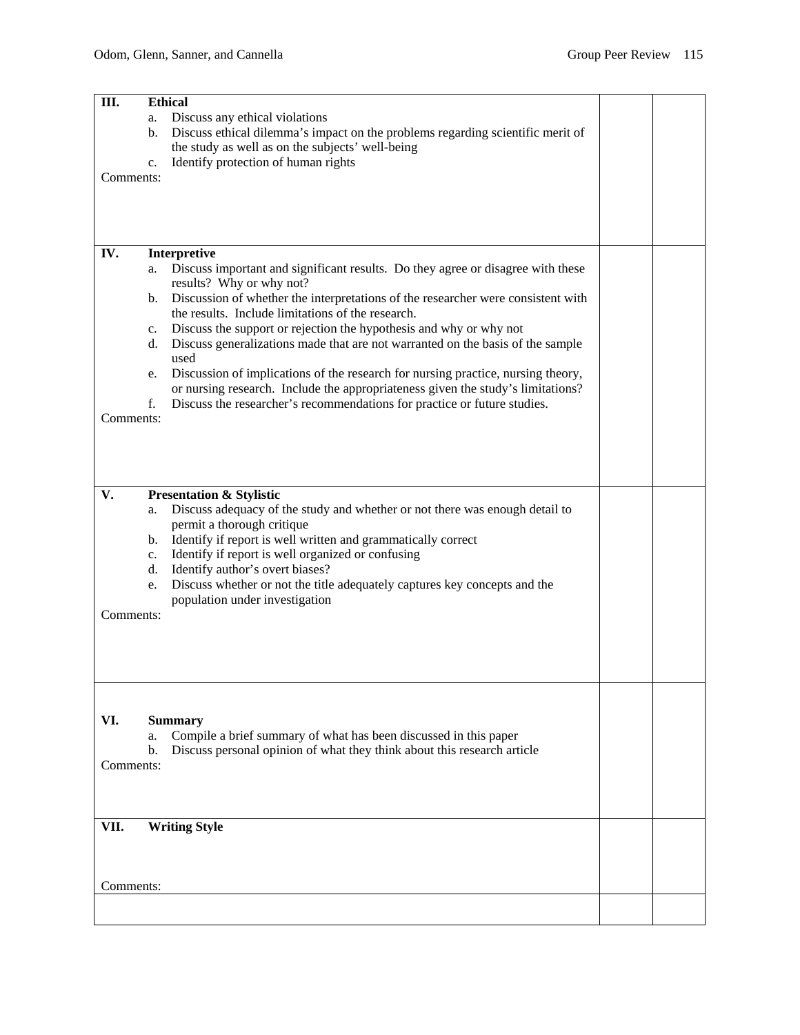| Ш.        | <b>Ethical</b>                                                                         |  |  |  |  |  |  |
|-----------|----------------------------------------------------------------------------------------|--|--|--|--|--|--|
|           | Discuss any ethical violations<br>a.                                                   |  |  |  |  |  |  |
|           | Discuss ethical dilemma's impact on the problems regarding scientific merit of<br>b.   |  |  |  |  |  |  |
|           | the study as well as on the subjects' well-being                                       |  |  |  |  |  |  |
|           | Identify protection of human rights<br>c.                                              |  |  |  |  |  |  |
| Comments: |                                                                                        |  |  |  |  |  |  |
|           |                                                                                        |  |  |  |  |  |  |
|           |                                                                                        |  |  |  |  |  |  |
|           |                                                                                        |  |  |  |  |  |  |
| IV.       | Interpretive                                                                           |  |  |  |  |  |  |
|           | Discuss important and significant results. Do they agree or disagree with these<br>a.  |  |  |  |  |  |  |
|           | results? Why or why not?                                                               |  |  |  |  |  |  |
|           | Discussion of whether the interpretations of the researcher were consistent with<br>b. |  |  |  |  |  |  |
|           | the results. Include limitations of the research.                                      |  |  |  |  |  |  |
|           | Discuss the support or rejection the hypothesis and why or why not<br>c.               |  |  |  |  |  |  |
|           | Discuss generalizations made that are not warranted on the basis of the sample<br>d.   |  |  |  |  |  |  |
|           | used                                                                                   |  |  |  |  |  |  |
|           | Discussion of implications of the research for nursing practice, nursing theory,<br>e. |  |  |  |  |  |  |
|           | or nursing research. Include the appropriateness given the study's limitations?<br>f.  |  |  |  |  |  |  |
| Comments: | Discuss the researcher's recommendations for practice or future studies.               |  |  |  |  |  |  |
|           |                                                                                        |  |  |  |  |  |  |
|           |                                                                                        |  |  |  |  |  |  |
|           |                                                                                        |  |  |  |  |  |  |
|           |                                                                                        |  |  |  |  |  |  |
| V.        | <b>Presentation &amp; Stylistic</b>                                                    |  |  |  |  |  |  |
|           | Discuss adequacy of the study and whether or not there was enough detail to<br>a.      |  |  |  |  |  |  |
|           | permit a thorough critique                                                             |  |  |  |  |  |  |
|           | b. Identify if report is well written and grammatically correct                        |  |  |  |  |  |  |
|           | Identify if report is well organized or confusing<br>c.                                |  |  |  |  |  |  |
|           | Identify author's overt biases?<br>d.                                                  |  |  |  |  |  |  |
|           | Discuss whether or not the title adequately captures key concepts and the<br>e.        |  |  |  |  |  |  |
| Comments: | population under investigation                                                         |  |  |  |  |  |  |
|           |                                                                                        |  |  |  |  |  |  |
|           |                                                                                        |  |  |  |  |  |  |
|           |                                                                                        |  |  |  |  |  |  |
|           |                                                                                        |  |  |  |  |  |  |
|           |                                                                                        |  |  |  |  |  |  |
|           |                                                                                        |  |  |  |  |  |  |
| VI.       | <b>Summary</b>                                                                         |  |  |  |  |  |  |
|           | Compile a brief summary of what has been discussed in this paper<br>a.                 |  |  |  |  |  |  |
|           | Discuss personal opinion of what they think about this research article<br>b.          |  |  |  |  |  |  |
| Comments: |                                                                                        |  |  |  |  |  |  |
|           |                                                                                        |  |  |  |  |  |  |
|           |                                                                                        |  |  |  |  |  |  |
| VII.      | <b>Writing Style</b>                                                                   |  |  |  |  |  |  |
|           |                                                                                        |  |  |  |  |  |  |
|           |                                                                                        |  |  |  |  |  |  |
|           |                                                                                        |  |  |  |  |  |  |
| Comments: |                                                                                        |  |  |  |  |  |  |
|           |                                                                                        |  |  |  |  |  |  |
|           |                                                                                        |  |  |  |  |  |  |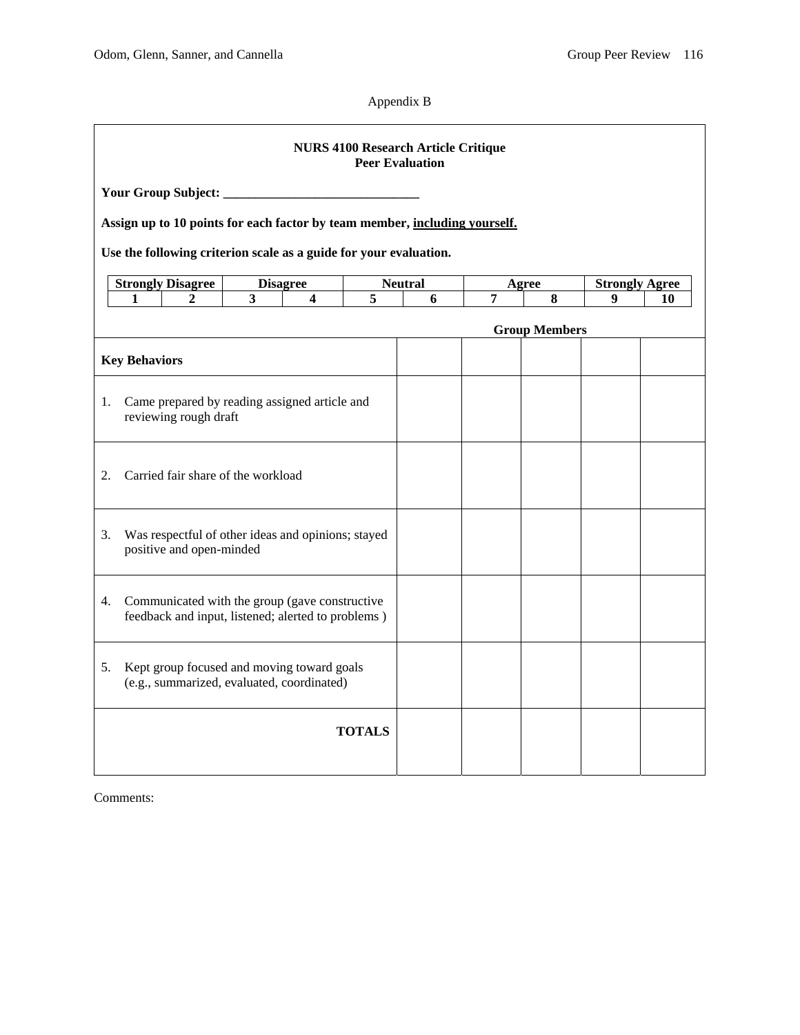Appendix B

| <b>NURS 4100 Research Article Critique</b><br><b>Peer Evaluation</b> |                                                                                                                                                                          |                                                                                          |                                                                              |  |                                       |  |                 |  |                                  |  |
|----------------------------------------------------------------------|--------------------------------------------------------------------------------------------------------------------------------------------------------------------------|------------------------------------------------------------------------------------------|------------------------------------------------------------------------------|--|---------------------------------------|--|-----------------|--|----------------------------------|--|
|                                                                      | Your Group Subject: _<br>Assign up to 10 points for each factor by team member, including yourself.<br>Use the following criterion scale as a guide for your evaluation. |                                                                                          |                                                                              |  |                                       |  |                 |  |                                  |  |
|                                                                      |                                                                                                                                                                          |                                                                                          |                                                                              |  |                                       |  |                 |  |                                  |  |
|                                                                      | <b>Strongly Disagree</b><br>1                                                                                                                                            |                                                                                          | <b>Disagree</b><br>$\overline{\mathbf{3}}$<br>$\overline{4}$<br>$\mathbf{2}$ |  | <b>Neutral</b><br>$\overline{5}$<br>6 |  | Agree<br>7<br>8 |  | <b>Strongly Agree</b><br>9<br>10 |  |
|                                                                      |                                                                                                                                                                          | <b>Group Members</b>                                                                     |                                                                              |  |                                       |  |                 |  |                                  |  |
|                                                                      | <b>Key Behaviors</b>                                                                                                                                                     |                                                                                          |                                                                              |  |                                       |  |                 |  |                                  |  |
| 1.                                                                   |                                                                                                                                                                          | Came prepared by reading assigned article and<br>reviewing rough draft                   |                                                                              |  |                                       |  |                 |  |                                  |  |
| 2.                                                                   | Carried fair share of the workload                                                                                                                                       |                                                                                          |                                                                              |  |                                       |  |                 |  |                                  |  |
| 3.                                                                   | Was respectful of other ideas and opinions; stayed<br>positive and open-minded                                                                                           |                                                                                          |                                                                              |  |                                       |  |                 |  |                                  |  |
| 4.                                                                   | Communicated with the group (gave constructive<br>feedback and input, listened; alerted to problems)                                                                     |                                                                                          |                                                                              |  |                                       |  |                 |  |                                  |  |
| 5.                                                                   |                                                                                                                                                                          | Kept group focused and moving toward goals<br>(e.g., summarized, evaluated, coordinated) |                                                                              |  |                                       |  |                 |  |                                  |  |
|                                                                      |                                                                                                                                                                          |                                                                                          |                                                                              |  | <b>TOTALS</b>                         |  |                 |  |                                  |  |
|                                                                      |                                                                                                                                                                          |                                                                                          |                                                                              |  |                                       |  |                 |  |                                  |  |

Comments: